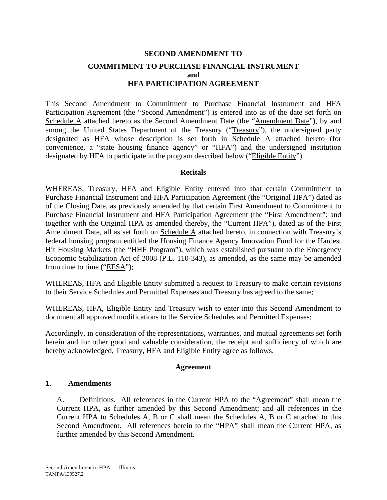# **SECOND AMENDMENT TO COMMITMENT TO PURCHASE FINANCIAL INSTRUMENT and HFA PARTICIPATION AGREEMENT**

This Second Amendment to Commitment to Purchase Financial Instrument and HFA Participation Agreement (the "Second Amendment") is entered into as of the date set forth on Schedule A attached hereto as the Second Amendment Date (the "Amendment Date"), by and among the United States Department of the Treasury ("Treasury"), the undersigned party designated as HFA whose description is set forth in Schedule A attached hereto (for convenience, a "state housing finance agency" or "HFA") and the undersigned institution designated by HFA to participate in the program described below ("Eligible Entity").

## **Recitals**

WHEREAS, Treasury, HFA and Eligible Entity entered into that certain Commitment to Purchase Financial Instrument and HFA Participation Agreement (the "Original HPA") dated as of the Closing Date, as previously amended by that certain First Amendment to Commitment to Purchase Financial Instrument and HFA Participation Agreement (the "First Amendment"; and together with the Original HPA as amended thereby, the "Current HPA"), dated as of the First Amendment Date, all as set forth on Schedule A attached hereto, in connection with Treasury's federal housing program entitled the Housing Finance Agency Innovation Fund for the Hardest Hit Housing Markets (the "HHF Program"), which was established pursuant to the Emergency Economic Stabilization Act of 2008 (P.L. 110-343), as amended, as the same may be amended from time to time ("EESA");

WHEREAS, HFA and Eligible Entity submitted a request to Treasury to make certain revisions to their Service Schedules and Permitted Expenses and Treasury has agreed to the same;

WHEREAS, HFA, Eligible Entity and Treasury wish to enter into this Second Amendment to document all approved modifications to the Service Schedules and Permitted Expenses;

Accordingly, in consideration of the representations, warranties, and mutual agreements set forth herein and for other good and valuable consideration, the receipt and sufficiency of which are hereby acknowledged, Treasury, HFA and Eligible Entity agree as follows.

## **Agreement**

## **1. Amendments**

A. Definitions. All references in the Current HPA to the "Agreement" shall mean the Current HPA, as further amended by this Second Amendment; and all references in the Current HPA to Schedules A, B or C shall mean the Schedules A, B or C attached to this Second Amendment. All references herein to the "HPA" shall mean the Current HPA, as further amended by this Second Amendment.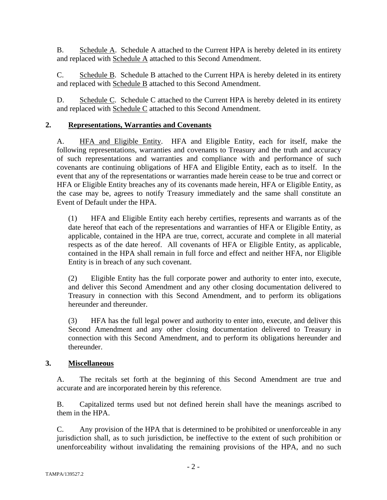B. Schedule A. Schedule A attached to the Current HPA is hereby deleted in its entirety and replaced with Schedule A attached to this Second Amendment.

C. Schedule B. Schedule B attached to the Current HPA is hereby deleted in its entirety and replaced with Schedule B attached to this Second Amendment.

D. Schedule C. Schedule C attached to the Current HPA is hereby deleted in its entirety and replaced with Schedule C attached to this Second Amendment.

## **2. Representations, Warranties and Covenants**

A. HFA and Eligible Entity. HFA and Eligible Entity, each for itself, make the following representations, warranties and covenants to Treasury and the truth and accuracy of such representations and warranties and compliance with and performance of such covenants are continuing obligations of HFA and Eligible Entity, each as to itself. In the event that any of the representations or warranties made herein cease to be true and correct or HFA or Eligible Entity breaches any of its covenants made herein, HFA or Eligible Entity, as the case may be, agrees to notify Treasury immediately and the same shall constitute an Event of Default under the HPA.

(1) HFA and Eligible Entity each hereby certifies, represents and warrants as of the date hereof that each of the representations and warranties of HFA or Eligible Entity, as applicable, contained in the HPA are true, correct, accurate and complete in all material respects as of the date hereof. All covenants of HFA or Eligible Entity, as applicable, contained in the HPA shall remain in full force and effect and neither HFA, nor Eligible Entity is in breach of any such covenant.

(2) Eligible Entity has the full corporate power and authority to enter into, execute, and deliver this Second Amendment and any other closing documentation delivered to Treasury in connection with this Second Amendment, and to perform its obligations hereunder and thereunder.

(3) HFA has the full legal power and authority to enter into, execute, and deliver this Second Amendment and any other closing documentation delivered to Treasury in connection with this Second Amendment, and to perform its obligations hereunder and thereunder.

## **3. Miscellaneous**

A. The recitals set forth at the beginning of this Second Amendment are true and accurate and are incorporated herein by this reference.

B. Capitalized terms used but not defined herein shall have the meanings ascribed to them in the HPA.

C. Any provision of the HPA that is determined to be prohibited or unenforceable in any jurisdiction shall, as to such jurisdiction, be ineffective to the extent of such prohibition or unenforceability without invalidating the remaining provisions of the HPA, and no such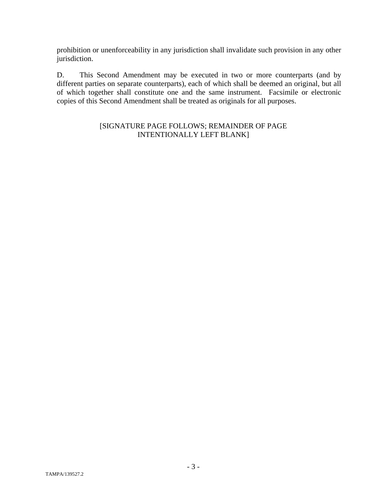prohibition or unenforceability in any jurisdiction shall invalidate such provision in any other jurisdiction.

D. This Second Amendment may be executed in two or more counterparts (and by different parties on separate counterparts), each of which shall be deemed an original, but all of which together shall constitute one and the same instrument. Facsimile or electronic copies of this Second Amendment shall be treated as originals for all purposes.

## [SIGNATURE PAGE FOLLOWS; REMAINDER OF PAGE INTENTIONALLY LEFT BLANK]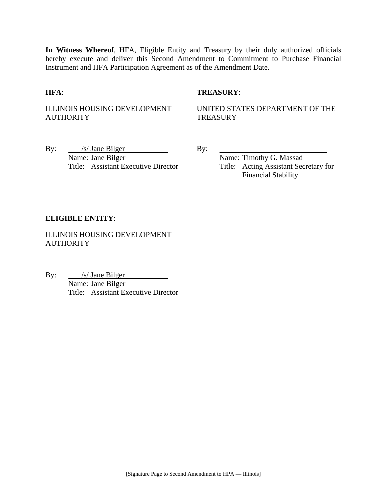**In Witness Whereof**, HFA, Eligible Entity and Treasury by their duly authorized officials hereby execute and deliver this Second Amendment to Commitment to Purchase Financial Instrument and HFA Participation Agreement as of the Amendment Date.

## **HFA**: **TREASURY**:

ILLINOIS HOUSING DEVELOPMENT **AUTHORITY** 

UNITED STATES DEPARTMENT OF THE **TREASURY** 

By:  $\frac{|s|}{\text{Jane Bilger}}$  By: Name: Jane Bilger Name: Timothy G. Massad

Title: Assistant Executive Director Title: Acting Assistant Secretary for Financial Stability

#### **ELIGIBLE ENTITY**:

ILLINOIS HOUSING DEVELOPMENT **AUTHORITY** 

By:  $\frac{\sqrt{s}}{\sqrt{5}}$  Jane Bilger Name: Jane Bilger Title: Assistant Executive Director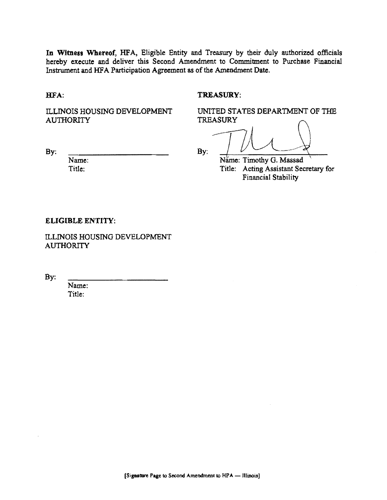In Witness Whereof, HFA, Eligible Entity and Treasury by their duly authorized officials hereby execute and deliver this Second Amendment to Commitment to Purchase Financial Instrument and HFA Participation Agreement as of the Amendment Date.

HFA:

By:

#### TREASURY:

ILLINOIS HOUSING DEVELOPMENT **AUTHORITY** 

UNITED STATES DEPARTMENT OF THE TREASURY

d Treasury by their duly authorized<br>dment to Commitment to Purchase<br>of the Amendment Date.<br>TREASURY:<br>UNITED STATES DEPARTMENT (<br>TREASURY<br> $B_{\rm V}$ By: !~

Name: Timothy G. Massad Title: Acting Assistant Secretary for Financial Stability

#### ELIGIBLE ENTITY:

Name: Title:

ILLINOIS HOUSING DEVELOPMENT **AUTHORITY** 

By:

Name: Title: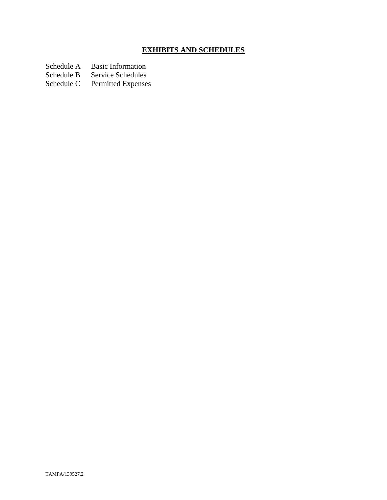# **EXHIBITS AND SCHEDULES**

Schedule A Basic Information<br>Schedule B Service Schedules

Schedule B Service Schedules<br>Schedule C Permitted Expenses

Permitted Expenses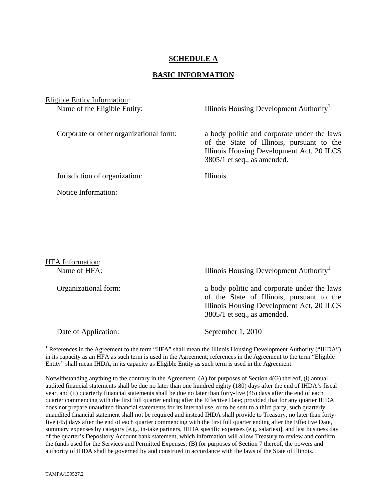## **SCHEDULE A**

#### **BASIC INFORMATION**

Eligible Entity Information:

Name of the Eligible Entity: Illinois Housing Development Authority<sup>1</sup>

Corporate or other organizational form: a body politic and corporate under the laws of the State of Illinois, pursuant to the Illinois Housing Development Act, 20 ILCS 3805/1 et seq., as amended.

Jurisdiction of organization: Illinois

Notice Information:

HFA Information: Name of HFA: Illinois Housing Development Authority<sup>1</sup> Organizational form: a body politic and corporate under the laws of the State of Illinois, pursuant to the Illinois Housing Development Act, 20 ILCS 3805/1 et seq., as amended. Date of Application: September 1, 2010

<sup>1</sup> References in the Agreement to the term "HFA" shall mean the Illinois Housing Development Authority ("IHDA") in its capacity as an HFA as such term is used in the Agreement; references in the Agreement to the term "Eligible Entity" shall mean IHDA, in its capacity as Eligible Entity as such term is used in the Agreement.

Notwithstanding anything to the contrary in the Agreement, (A) for purposes of Section 4(G) thereof, (i) annual audited financial statements shall be due no later than one hundred eighty (180) days after the end of IHDA's fiscal year, and (ii) quarterly financial statements shall be due no later than forty-five (45) days after the end of each quarter commencing with the first full quarter ending after the Effective Date; provided that for any quarter IHDA does not prepare unaudited financial statements for its internal use, or to be sent to a third party, such quarterly unaudited financial statement shall not be required and instead IHDA shall provide to Treasury, no later than fortyfive (45) days after the end of each quarter commencing with the first full quarter ending after the Effective Date, summary expenses by category [e.g., in-take partners, IHDA specific expenses (e.g. salaries)], and last business day of the quarter's Depository Account bank statement, which information will allow Treasury to review and confirm the funds used for the Services and Permitted Expenses; (B) for purposes of Section 7 thereof, the powers and authority of IHDA shall be governed by and construed in accordance with the laws of the State of Illinois.

 $\overline{a}$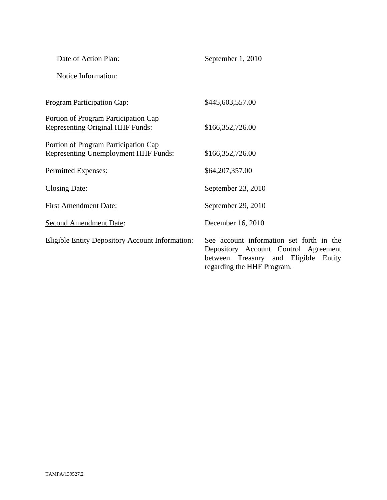| Date of Action Plan:                                                                | September 1, 2010                                                         |
|-------------------------------------------------------------------------------------|---------------------------------------------------------------------------|
| Notice Information:                                                                 |                                                                           |
| <b>Program Participation Cap:</b>                                                   | \$445,603,557.00                                                          |
| Portion of Program Participation Cap<br><b>Representing Original HHF Funds:</b>     | \$166,352,726.00                                                          |
| Portion of Program Participation Cap<br><b>Representing Unemployment HHF Funds:</b> | \$166,352,726.00                                                          |
| Permitted Expenses:                                                                 | \$64,207,357.00                                                           |
| Closing Date:                                                                       | September 23, 2010                                                        |
| <b>First Amendment Date:</b>                                                        | September 29, 2010                                                        |
| <b>Second Amendment Date:</b>                                                       | December 16, 2010                                                         |
| <b>Eligible Entity Depository Account Information:</b>                              | See account information<br>Depository Account 0<br>between Treasury<br>an |

on set forth in the Depository Account Control Agreement between Treasury and Eligible Entity regarding the HHF Program.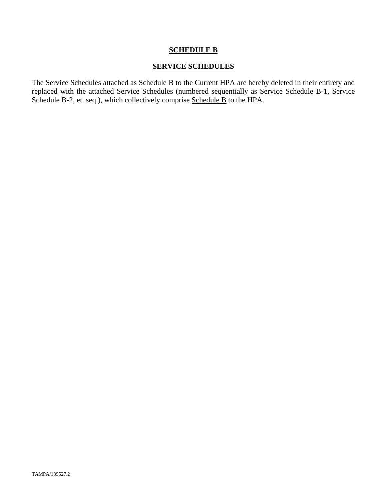## **SCHEDULE B**

## **SERVICE SCHEDULES**

The Service Schedules attached as Schedule B to the Current HPA are hereby deleted in their entirety and replaced with the attached Service Schedules (numbered sequentially as Service Schedule B-1, Service Schedule B-2, et. seq.), which collectively comprise Schedule B to the HPA.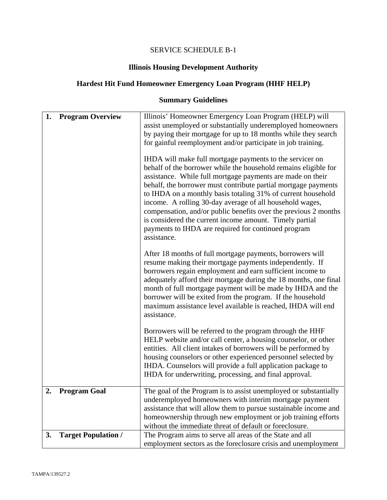# SERVICE SCHEDULE B-1

# **Illinois Housing Development Authority**

# **Hardest Hit Fund Homeowner Emergency Loan Program (HHF HELP)**

# **Summary Guidelines**

| 1. | <b>Program Overview</b>    | Illinois' Homeowner Emergency Loan Program (HELP) will<br>assist unemployed or substantially underemployed homeowners<br>by paying their mortgage for up to 18 months while they search<br>for gainful reemployment and/or participate in job training.<br>IHDA will make full mortgage payments to the servicer on<br>behalf of the borrower while the household remains eligible for<br>assistance. While full mortgage payments are made on their<br>behalf, the borrower must contribute partial mortgage payments<br>to IHDA on a monthly basis totaling 31% of current household<br>income. A rolling 30-day average of all household wages,<br>compensation, and/or public benefits over the previous 2 months<br>is considered the current income amount. Timely partial<br>payments to IHDA are required for continued program<br>assistance. |
|----|----------------------------|--------------------------------------------------------------------------------------------------------------------------------------------------------------------------------------------------------------------------------------------------------------------------------------------------------------------------------------------------------------------------------------------------------------------------------------------------------------------------------------------------------------------------------------------------------------------------------------------------------------------------------------------------------------------------------------------------------------------------------------------------------------------------------------------------------------------------------------------------------|
|    |                            | After 18 months of full mortgage payments, borrowers will<br>resume making their mortgage payments independently. If<br>borrowers regain employment and earn sufficient income to<br>adequately afford their mortgage during the 18 months, one final<br>month of full mortgage payment will be made by IHDA and the<br>borrower will be exited from the program. If the household<br>maximum assistance level available is reached, IHDA will end<br>assistance.                                                                                                                                                                                                                                                                                                                                                                                      |
|    |                            | Borrowers will be referred to the program through the HHF<br>HELP website and/or call center, a housing counselor, or other<br>entities. All client intakes of borrowers will be performed by<br>housing counselors or other experienced personnel selected by<br>IHDA. Counselors will provide a full application package to<br>IHDA for underwriting, processing, and final approval.                                                                                                                                                                                                                                                                                                                                                                                                                                                                |
| 2. | <b>Program Goal</b>        | The goal of the Program is to assist unemployed or substantially<br>underemployed homeowners with interim mortgage payment<br>assistance that will allow them to pursue sustainable income and<br>homeownership through new employment or job training efforts<br>without the immediate threat of default or foreclosure.                                                                                                                                                                                                                                                                                                                                                                                                                                                                                                                              |
| 3. | <b>Target Population /</b> | The Program aims to serve all areas of the State and all<br>employment sectors as the foreclosure crisis and unemployment                                                                                                                                                                                                                                                                                                                                                                                                                                                                                                                                                                                                                                                                                                                              |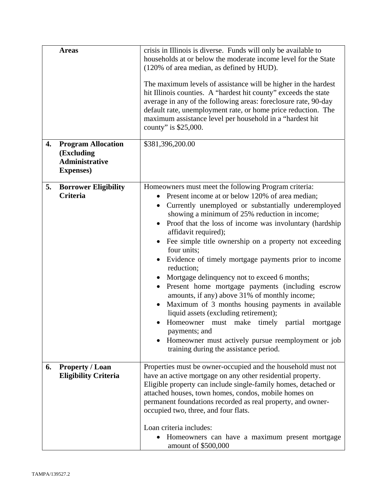|    | <b>Areas</b>                                                                          | crisis in Illinois is diverse. Funds will only be available to<br>households at or below the moderate income level for the State<br>(120% of area median, as defined by HUD).<br>The maximum levels of assistance will be higher in the hardest<br>hit Illinois counties. A "hardest hit county" exceeds the state<br>average in any of the following areas: foreclosure rate, 90-day<br>default rate, unemployment rate, or home price reduction. The<br>maximum assistance level per household in a "hardest hit<br>county" is \$25,000.                                                                                                                                                                                                                                                                                                                                           |
|----|---------------------------------------------------------------------------------------|--------------------------------------------------------------------------------------------------------------------------------------------------------------------------------------------------------------------------------------------------------------------------------------------------------------------------------------------------------------------------------------------------------------------------------------------------------------------------------------------------------------------------------------------------------------------------------------------------------------------------------------------------------------------------------------------------------------------------------------------------------------------------------------------------------------------------------------------------------------------------------------|
| 4. | <b>Program Allocation</b><br>(Excluding<br><b>Administrative</b><br><b>Expenses</b> ) | \$381,396,200.00                                                                                                                                                                                                                                                                                                                                                                                                                                                                                                                                                                                                                                                                                                                                                                                                                                                                     |
| 5. | <b>Borrower Eligibility</b><br><b>Criteria</b>                                        | Homeowners must meet the following Program criteria:<br>Present income at or below 120% of area median;<br>Currently unemployed or substantially underemployed<br>$\bullet$<br>showing a minimum of 25% reduction in income;<br>Proof that the loss of income was involuntary (hardship<br>affidavit required);<br>Fee simple title ownership on a property not exceeding<br>four units;<br>Evidence of timely mortgage payments prior to income<br>reduction;<br>Mortgage delinquency not to exceed 6 months;<br>Present home mortgage payments (including escrow<br>amounts, if any) above 31% of monthly income;<br>Maximum of 3 months housing payments in available<br>liquid assets (excluding retirement);<br>Homeowner must make timely partial<br>mortgage<br>payments; and<br>Homeowner must actively pursue reemployment or job<br>training during the assistance period. |
| 6. | <b>Property / Loan</b><br><b>Eligibility Criteria</b>                                 | Properties must be owner-occupied and the household must not<br>have an active mortgage on any other residential property.<br>Eligible property can include single-family homes, detached or<br>attached houses, town homes, condos, mobile homes on<br>permanent foundations recorded as real property, and owner-<br>occupied two, three, and four flats.<br>Loan criteria includes:<br>Homeowners can have a maximum present mortgage<br>amount of \$500,000                                                                                                                                                                                                                                                                                                                                                                                                                      |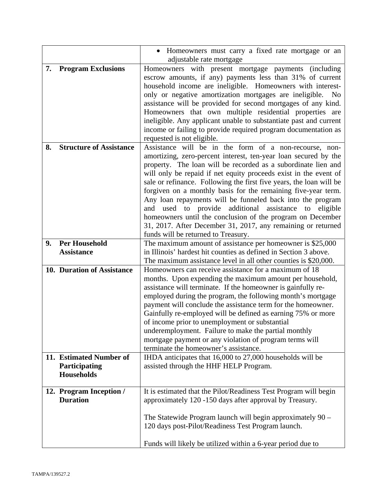|    |                                | Homeowners must carry a fixed rate mortgage or an                                                                                          |
|----|--------------------------------|--------------------------------------------------------------------------------------------------------------------------------------------|
|    |                                | adjustable rate mortgage                                                                                                                   |
| 7. | <b>Program Exclusions</b>      | Homeowners with present mortgage payments (including                                                                                       |
|    |                                | escrow amounts, if any) payments less than 31% of current                                                                                  |
|    |                                | household income are ineligible. Homeowners with interest-                                                                                 |
|    |                                | only or negative amortization mortgages are ineligible.<br>N <sub>0</sub><br>assistance will be provided for second mortgages of any kind. |
|    |                                | Homeowners that own multiple residential properties are                                                                                    |
|    |                                | ineligible. Any applicant unable to substantiate past and current                                                                          |
|    |                                | income or failing to provide required program documentation as                                                                             |
|    |                                | requested is not eligible.                                                                                                                 |
| 8. | <b>Structure of Assistance</b> | Assistance will be in the form of a non-recourse, non-                                                                                     |
|    |                                | amortizing, zero-percent interest, ten-year loan secured by the                                                                            |
|    |                                | property. The loan will be recorded as a subordinate lien and                                                                              |
|    |                                | will only be repaid if net equity proceeds exist in the event of                                                                           |
|    |                                | sale or refinance. Following the first five years, the loan will be                                                                        |
|    |                                | forgiven on a monthly basis for the remaining five-year term.                                                                              |
|    |                                | Any loan repayments will be funneled back into the program                                                                                 |
|    |                                | and used to provide additional assistance to eligible                                                                                      |
|    |                                | homeowners until the conclusion of the program on December                                                                                 |
|    |                                | 31, 2017. After December 31, 2017, any remaining or returned                                                                               |
|    |                                | funds will be returned to Treasury.                                                                                                        |
| 9. | <b>Per Household</b>           | The maximum amount of assistance per homeowner is \$25,000                                                                                 |
|    | <b>Assistance</b>              | in Illinois' hardest hit counties as defined in Section 3 above.                                                                           |
|    |                                | The maximum assistance level in all other counties is \$20,000.                                                                            |
|    | 10. Duration of Assistance     | Homeowners can receive assistance for a maximum of 18                                                                                      |
|    |                                | months. Upon expending the maximum amount per household,                                                                                   |
|    |                                | assistance will terminate. If the homeowner is gainfully re-                                                                               |
|    |                                | employed during the program, the following month's mortgage<br>payment will conclude the assistance term for the homeowner.                |
|    |                                | Gainfully re-employed will be defined as earning 75% or more                                                                               |
|    |                                | of income prior to unemployment or substantial                                                                                             |
|    |                                | underemployment. Failure to make the partial monthly                                                                                       |
|    |                                | mortgage payment or any violation of program terms will                                                                                    |
|    |                                | terminate the homeowner's assistance.                                                                                                      |
|    | 11. Estimated Number of        | IHDA anticipates that 16,000 to 27,000 households will be                                                                                  |
|    | Participating                  | assisted through the HHF HELP Program.                                                                                                     |
|    | <b>Households</b>              |                                                                                                                                            |
|    |                                |                                                                                                                                            |
|    | 12. Program Inception /        | It is estimated that the Pilot/Readiness Test Program will begin                                                                           |
|    | <b>Duration</b>                | approximately 120 -150 days after approval by Treasury.                                                                                    |
|    |                                |                                                                                                                                            |
|    |                                | The Statewide Program launch will begin approximately $90 -$                                                                               |
|    |                                | 120 days post-Pilot/Readiness Test Program launch.                                                                                         |
|    |                                | Funds will likely be utilized within a 6-year period due to                                                                                |
|    |                                |                                                                                                                                            |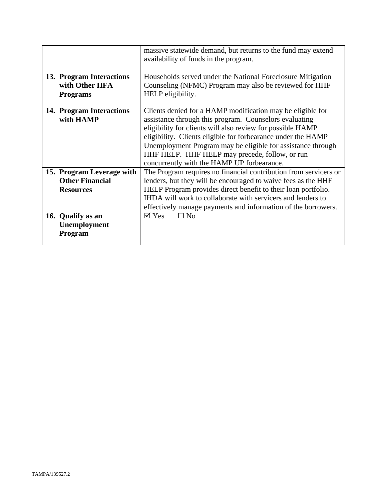|                           | massive statewide demand, but returns to the fund may extend<br>availability of funds in the program. |
|---------------------------|-------------------------------------------------------------------------------------------------------|
|                           |                                                                                                       |
| 13. Program Interactions  | Households served under the National Foreclosure Mitigation                                           |
| with Other HFA            | Counseling (NFMC) Program may also be reviewed for HHF                                                |
| <b>Programs</b>           | HELP eligibility.                                                                                     |
| 14. Program Interactions  | Clients denied for a HAMP modification may be eligible for                                            |
| with HAMP                 | assistance through this program. Counselors evaluating                                                |
|                           | eligibility for clients will also review for possible HAMP                                            |
|                           | eligibility. Clients eligible for forbearance under the HAMP                                          |
|                           | Unemployment Program may be eligible for assistance through                                           |
|                           | HHF HELP. HHF HELP may precede, follow, or run                                                        |
|                           | concurrently with the HAMP UP forbearance.                                                            |
| 15. Program Leverage with | The Program requires no financial contribution from servicers or                                      |
| <b>Other Financial</b>    | lenders, but they will be encouraged to waive fees as the HHF                                         |
| <b>Resources</b>          | HELP Program provides direct benefit to their loan portfolio.                                         |
|                           | IHDA will work to collaborate with servicers and lenders to                                           |
|                           | effectively manage payments and information of the borrowers.                                         |
| 16. Qualify as an         | $\Box$ No<br>$\boxtimes$ Yes                                                                          |
| Unemployment              |                                                                                                       |
| Program                   |                                                                                                       |
|                           |                                                                                                       |